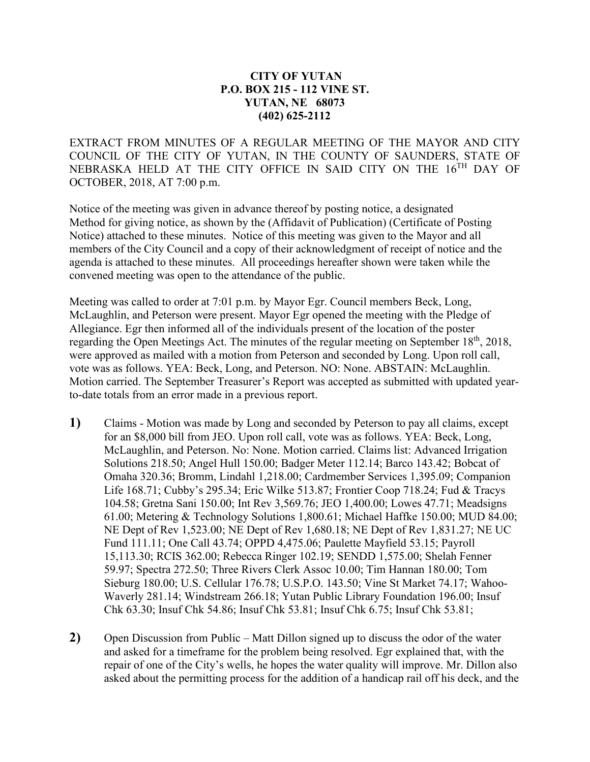## **CITY OF YUTAN P.O. BOX 215 - 112 VINE ST. YUTAN, NE 68073 (402) 625-2112**

EXTRACT FROM MINUTES OF A REGULAR MEETING OF THE MAYOR AND CITY COUNCIL OF THE CITY OF YUTAN, IN THE COUNTY OF SAUNDERS, STATE OF NEBRASKA HELD AT THE CITY OFFICE IN SAID CITY ON THE 16TH DAY OF OCTOBER, 2018, AT 7:00 p.m.

Notice of the meeting was given in advance thereof by posting notice, a designated Method for giving notice, as shown by the (Affidavit of Publication) (Certificate of Posting Notice) attached to these minutes. Notice of this meeting was given to the Mayor and all members of the City Council and a copy of their acknowledgment of receipt of notice and the agenda is attached to these minutes. All proceedings hereafter shown were taken while the convened meeting was open to the attendance of the public.

Meeting was called to order at 7:01 p.m. by Mayor Egr. Council members Beck, Long, McLaughlin, and Peterson were present. Mayor Egr opened the meeting with the Pledge of Allegiance. Egr then informed all of the individuals present of the location of the poster regarding the Open Meetings Act. The minutes of the regular meeting on September 18<sup>th</sup>, 2018, were approved as mailed with a motion from Peterson and seconded by Long. Upon roll call, vote was as follows. YEA: Beck, Long, and Peterson. NO: None. ABSTAIN: McLaughlin. Motion carried. The September Treasurer's Report was accepted as submitted with updated yearto-date totals from an error made in a previous report.

- **1)** Claims Motion was made by Long and seconded by Peterson to pay all claims, except for an \$8,000 bill from JEO. Upon roll call, vote was as follows. YEA: Beck, Long, McLaughlin, and Peterson. No: None. Motion carried. Claims list: Advanced Irrigation Solutions 218.50; Angel Hull 150.00; Badger Meter 112.14; Barco 143.42; Bobcat of Omaha 320.36; Bromm, Lindahl 1,218.00; Cardmember Services 1,395.09; Companion Life 168.71; Cubby's 295.34; Eric Wilke 513.87; Frontier Coop 718.24; Fud & Tracys 104.58; Gretna Sani 150.00; Int Rev 3,569.76; JEO 1,400.00; Lowes 47.71; Meadsigns 61.00; Metering & Technology Solutions 1,800.61; Michael Haffke 150.00; MUD 84.00; NE Dept of Rev 1,523.00; NE Dept of Rev 1,680.18; NE Dept of Rev 1,831.27; NE UC Fund 111.11; One Call 43.74; OPPD 4,475.06; Paulette Mayfield 53.15; Payroll 15,113.30; RCIS 362.00; Rebecca Ringer 102.19; SENDD 1,575.00; Shelah Fenner 59.97; Spectra 272.50; Three Rivers Clerk Assoc 10.00; Tim Hannan 180.00; Tom Sieburg 180.00; U.S. Cellular 176.78; U.S.P.O. 143.50; Vine St Market 74.17; Wahoo-Waverly 281.14; Windstream 266.18; Yutan Public Library Foundation 196.00; Insuf Chk 63.30; Insuf Chk 54.86; Insuf Chk 53.81; Insuf Chk 6.75; Insuf Chk 53.81;
- **2)** Open Discussion from Public Matt Dillon signed up to discuss the odor of the water and asked for a timeframe for the problem being resolved. Egr explained that, with the repair of one of the City's wells, he hopes the water quality will improve. Mr. Dillon also asked about the permitting process for the addition of a handicap rail off his deck, and the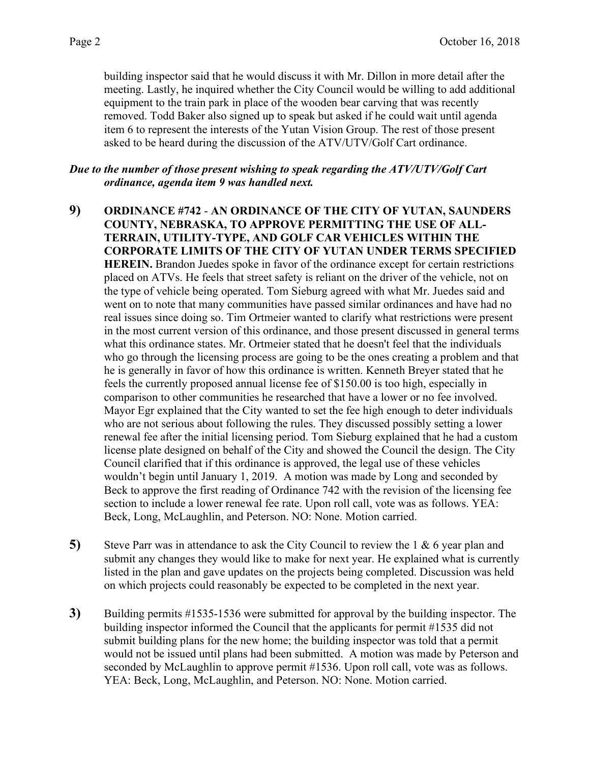building inspector said that he would discuss it with Mr. Dillon in more detail after the meeting. Lastly, he inquired whether the City Council would be willing to add additional equipment to the train park in place of the wooden bear carving that was recently removed. Todd Baker also signed up to speak but asked if he could wait until agenda item 6 to represent the interests of the Yutan Vision Group. The rest of those present asked to be heard during the discussion of the ATV/UTV/Golf Cart ordinance.

*Due to the number of those present wishing to speak regarding the ATV/UTV/Golf Cart ordinance, agenda item 9 was handled next.*

- **9) ORDINANCE #742 AN ORDINANCE OF THE CITY OF YUTAN, SAUNDERS COUNTY, NEBRASKA, TO APPROVE PERMITTING THE USE OF ALL-TERRAIN, UTILITY-TYPE, AND GOLF CAR VEHICLES WITHIN THE CORPORATE LIMITS OF THE CITY OF YUTAN UNDER TERMS SPECIFIED HEREIN.** Brandon Juedes spoke in favor of the ordinance except for certain restrictions placed on ATVs. He feels that street safety is reliant on the driver of the vehicle, not on the type of vehicle being operated. Tom Sieburg agreed with what Mr. Juedes said and went on to note that many communities have passed similar ordinances and have had no real issues since doing so. Tim Ortmeier wanted to clarify what restrictions were present in the most current version of this ordinance, and those present discussed in general terms what this ordinance states. Mr. Ortmeier stated that he doesn't feel that the individuals who go through the licensing process are going to be the ones creating a problem and that he is generally in favor of how this ordinance is written. Kenneth Breyer stated that he feels the currently proposed annual license fee of \$150.00 is too high, especially in comparison to other communities he researched that have a lower or no fee involved. Mayor Egr explained that the City wanted to set the fee high enough to deter individuals who are not serious about following the rules. They discussed possibly setting a lower renewal fee after the initial licensing period. Tom Sieburg explained that he had a custom license plate designed on behalf of the City and showed the Council the design. The City Council clarified that if this ordinance is approved, the legal use of these vehicles wouldn't begin until January 1, 2019. A motion was made by Long and seconded by Beck to approve the first reading of Ordinance 742 with the revision of the licensing fee section to include a lower renewal fee rate. Upon roll call, vote was as follows. YEA: Beck, Long, McLaughlin, and Peterson. NO: None. Motion carried.
- **5)** Steve Parr was in attendance to ask the City Council to review the 1 & 6 year plan and submit any changes they would like to make for next year. He explained what is currently listed in the plan and gave updates on the projects being completed. Discussion was held on which projects could reasonably be expected to be completed in the next year.
- **3)** Building permits #1535-1536 were submitted for approval by the building inspector. The building inspector informed the Council that the applicants for permit #1535 did not submit building plans for the new home; the building inspector was told that a permit would not be issued until plans had been submitted. A motion was made by Peterson and seconded by McLaughlin to approve permit #1536. Upon roll call, vote was as follows. YEA: Beck, Long, McLaughlin, and Peterson. NO: None. Motion carried.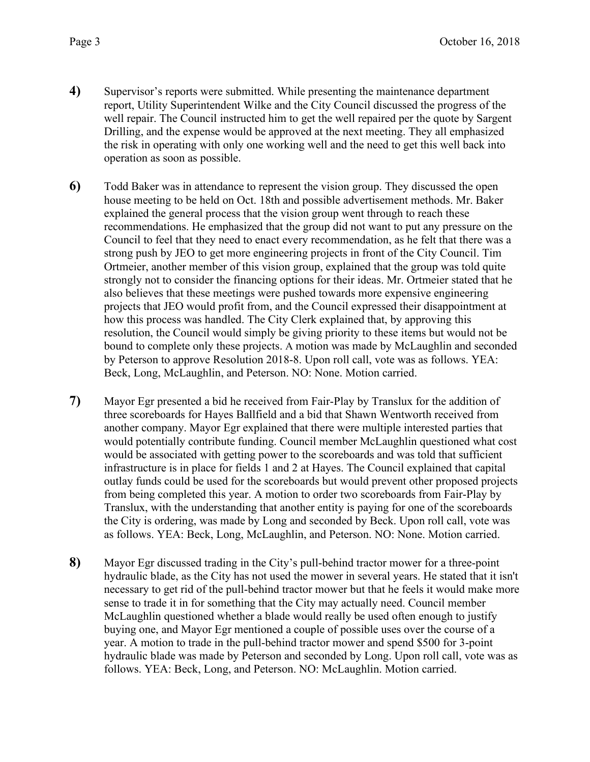- **4)** Supervisor's reports were submitted. While presenting the maintenance department report, Utility Superintendent Wilke and the City Council discussed the progress of the well repair. The Council instructed him to get the well repaired per the quote by Sargent Drilling, and the expense would be approved at the next meeting. They all emphasized the risk in operating with only one working well and the need to get this well back into operation as soon as possible.
- **6)** Todd Baker was in attendance to represent the vision group. They discussed the open house meeting to be held on Oct. 18th and possible advertisement methods. Mr. Baker explained the general process that the vision group went through to reach these recommendations. He emphasized that the group did not want to put any pressure on the Council to feel that they need to enact every recommendation, as he felt that there was a strong push by JEO to get more engineering projects in front of the City Council. Tim Ortmeier, another member of this vision group, explained that the group was told quite strongly not to consider the financing options for their ideas. Mr. Ortmeier stated that he also believes that these meetings were pushed towards more expensive engineering projects that JEO would profit from, and the Council expressed their disappointment at how this process was handled. The City Clerk explained that, by approving this resolution, the Council would simply be giving priority to these items but would not be bound to complete only these projects. A motion was made by McLaughlin and seconded by Peterson to approve Resolution 2018-8. Upon roll call, vote was as follows. YEA: Beck, Long, McLaughlin, and Peterson. NO: None. Motion carried.
- **7)** Mayor Egr presented a bid he received from Fair-Play by Translux for the addition of three scoreboards for Hayes Ballfield and a bid that Shawn Wentworth received from another company. Mayor Egr explained that there were multiple interested parties that would potentially contribute funding. Council member McLaughlin questioned what cost would be associated with getting power to the scoreboards and was told that sufficient infrastructure is in place for fields 1 and 2 at Hayes. The Council explained that capital outlay funds could be used for the scoreboards but would prevent other proposed projects from being completed this year. A motion to order two scoreboards from Fair-Play by Translux, with the understanding that another entity is paying for one of the scoreboards the City is ordering, was made by Long and seconded by Beck. Upon roll call, vote was as follows. YEA: Beck, Long, McLaughlin, and Peterson. NO: None. Motion carried.
- **8)** Mayor Egr discussed trading in the City's pull-behind tractor mower for a three-point hydraulic blade, as the City has not used the mower in several years. He stated that it isn't necessary to get rid of the pull-behind tractor mower but that he feels it would make more sense to trade it in for something that the City may actually need. Council member McLaughlin questioned whether a blade would really be used often enough to justify buying one, and Mayor Egr mentioned a couple of possible uses over the course of a year. A motion to trade in the pull-behind tractor mower and spend \$500 for 3-point hydraulic blade was made by Peterson and seconded by Long. Upon roll call, vote was as follows. YEA: Beck, Long, and Peterson. NO: McLaughlin. Motion carried.